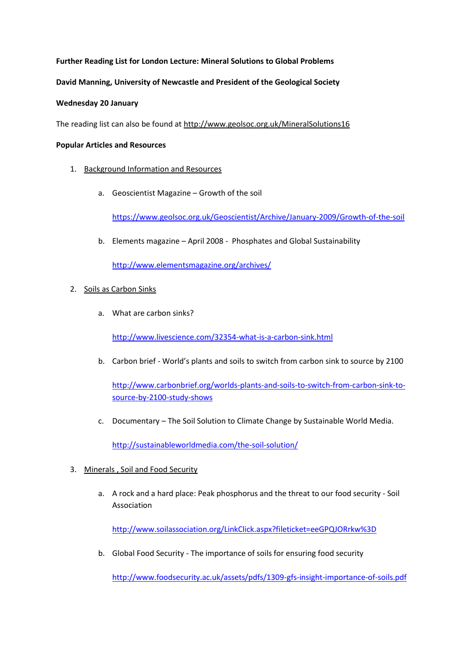## **Further Reading List for London Lecture: Mineral Solutions to Global Problems**

### **David Manning, University of Newcastle and President of the Geological Society**

#### **Wednesday 20 January**

The reading list can also be found at http://www.geolsoc.org.uk/MineralSolutions16

#### **Popular Articles and Resources**

- 1. Background Information and Resources
	- a. Geoscientist Magazine Growth of the soil

<https://www.geolsoc.org.uk/Geoscientist/Archive/January-2009/Growth-of-the-soil>

b. Elements magazine – April 2008 - Phosphates and Global Sustainability

<http://www.elementsmagazine.org/archives/>

### 2. Soils as Carbon Sinks

a. What are carbon sinks?

<http://www.livescience.com/32354-what-is-a-carbon-sink.html>

b. Carbon brief - World's plants and soils to switch from carbon sink to source by 2100

[http://www.carbonbrief.org/worlds-plants-and-soils-to-switch-from-carbon-sink-to](http://www.carbonbrief.org/worlds-plants-and-soils-to-switch-from-carbon-sink-to-source-by-2100-study-shows)[source-by-2100-study-shows](http://www.carbonbrief.org/worlds-plants-and-soils-to-switch-from-carbon-sink-to-source-by-2100-study-shows)

c. Documentary – The Soil Solution to Climate Change by Sustainable World Media.

<http://sustainableworldmedia.com/the-soil-solution/>

- 3. Minerals , Soil and Food Security
	- a. A rock and a hard place: Peak phosphorus and the threat to our food security Soil Association

<http://www.soilassociation.org/LinkClick.aspx?fileticket=eeGPQJORrkw%3D>

b. Global Food Security - The importance of soils for ensuring food security

<http://www.foodsecurity.ac.uk/assets/pdfs/1309-gfs-insight-importance-of-soils.pdf>